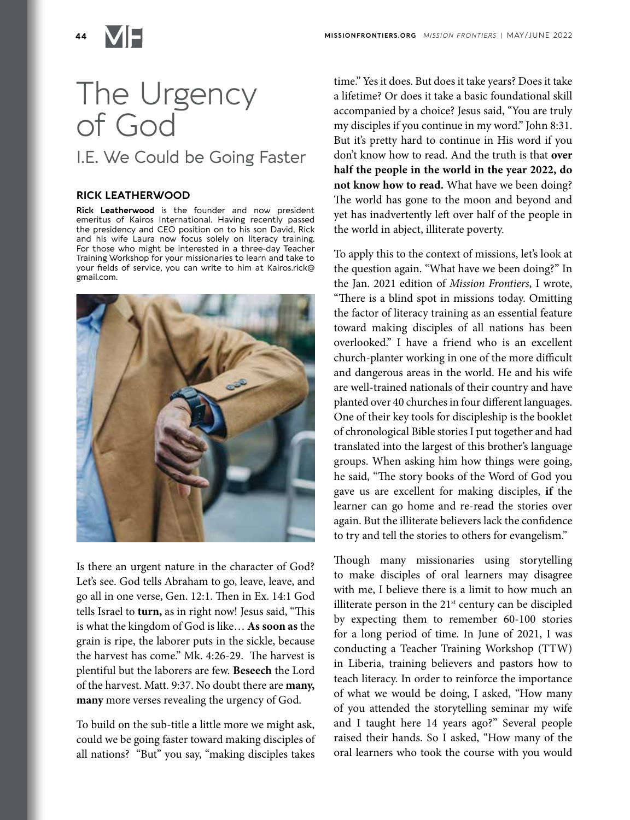

## The Urgency of God I.E. We Could be Going Faster

## **RICK LEATHERWOOD**

**Rick Leatherwood** is the founder and now president emeritus of Kairos International. Having recently passed the presidency and CEO position on to his son David, Rick and his wife Laura now focus solely on literacy training. For those who might be interested in a three-day Teacher Training Workshop for your missionaries to learn and take to your fields of service, you can write to him at Kairos.rick@ gmail.com.



Is there an urgent nature in the character of God? Let's see. God tells Abraham to go, leave, leave, and go all in one verse, Gen. 12:1. Then in Ex. 14:1 God tells Israel to **turn,** as in right now! Jesus said, "This is what the kingdom of God is like… **As soon as** the grain is ripe, the laborer puts in the sickle, because the harvest has come." Mk. 4:26-29. The harvest is plentiful but the laborers are few. **Beseech** the Lord of the harvest. Matt. 9:37. No doubt there are **many, many** more verses revealing the urgency of God.

To build on the sub-title a little more we might ask, could we be going faster toward making disciples of all nations? "But" you say, "making disciples takes

time." Yes it does. But does it take years? Does it take a lifetime? Or does it take a basic foundational skill accompanied by a choice? Jesus said, "You are truly my disciples if you continue in my word." John 8:31. But it's pretty hard to continue in His word if you don't know how to read. And the truth is that **over half the people in the world in the year 2022, do not know how to read.** What have we been doing? The world has gone to the moon and beyond and yet has inadvertently left over half of the people in the world in abject, illiterate poverty.

To apply this to the context of missions, let's look at the question again. "What have we been doing?" In the Jan. 2021 edition of *Mission Frontiers*, I wrote, "There is a blind spot in missions today. Omitting the factor of literacy training as an essential feature toward making disciples of all nations has been overlooked." I have a friend who is an excellent church-planter working in one of the more difficult and dangerous areas in the world. He and his wife are well-trained nationals of their country and have planted over 40 churches in four different languages. One of their key tools for discipleship is the booklet of chronological Bible stories I put together and had translated into the largest of this brother's language groups. When asking him how things were going, he said, "The story books of the Word of God you gave us are excellent for making disciples, **if** the learner can go home and re-read the stories over again. But the illiterate believers lack the confidence to try and tell the stories to others for evangelism."

Though many missionaries using storytelling to make disciples of oral learners may disagree with me, I believe there is a limit to how much an illiterate person in the  $21<sup>st</sup>$  century can be discipled by expecting them to remember 60-100 stories for a long period of time. In June of 2021, I was conducting a Teacher Training Workshop (TTW) in Liberia, training believers and pastors how to teach literacy. In order to reinforce the importance of what we would be doing, I asked, "How many of you attended the storytelling seminar my wife and I taught here 14 years ago?" Several people raised their hands. So I asked, "How many of the oral learners who took the course with you would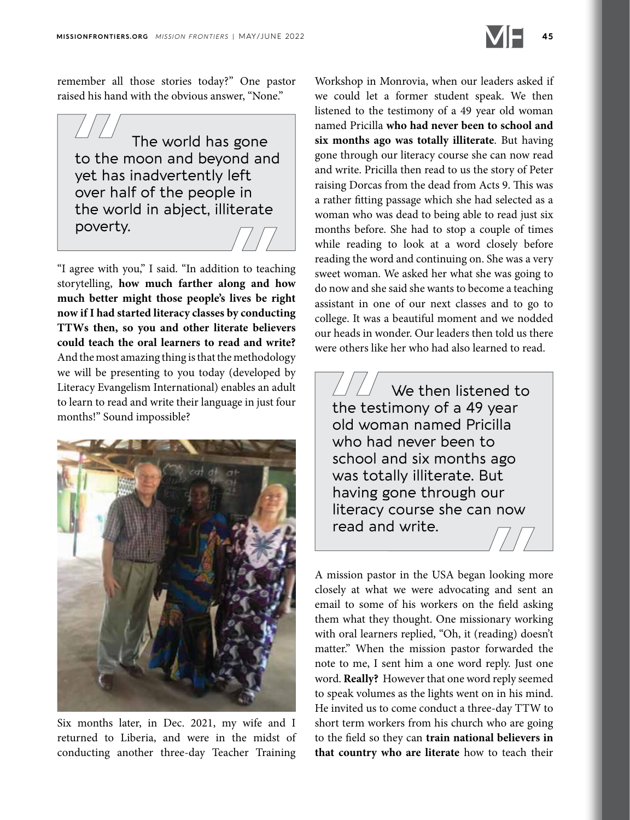

remember all those stories today?" One pastor raised his hand with the obvious answer, "None."

The world has gone to the moon and beyond and yet has inadvertently left over half of the people in the world in abject, illiterate poverty.

"I agree with you," I said. "In addition to teaching storytelling, **how much farther along and how much better might those people's lives be right now if I had started literacy classes by conducting TTWs then, so you and other literate believers could teach the oral learners to read and write?** And the most amazing thing is that the methodology we will be presenting to you today (developed by Literacy Evangelism International) enables an adult to learn to read and write their language in just four months!" Sound impossible?



Six months later, in Dec. 2021, my wife and I returned to Liberia, and were in the midst of conducting another three-day Teacher Training

Workshop in Monrovia, when our leaders asked if we could let a former student speak. We then listened to the testimony of a 49 year old woman named Pricilla **who had never been to school and six months ago was totally illiterate**. But having gone through our literacy course she can now read and write. Pricilla then read to us the story of Peter raising Dorcas from the dead from Acts 9. This was a rather fitting passage which she had selected as a woman who was dead to being able to read just six months before. She had to stop a couple of times while reading to look at a word closely before reading the word and continuing on. She was a very sweet woman. We asked her what she was going to do now and she said she wants to become a teaching assistant in one of our next classes and to go to college. It was a beautiful moment and we nodded our heads in wonder. Our leaders then told us there were others like her who had also learned to read.

We then listened to the testimony of a 49 year old woman named Pricilla who had never been to school and six months ago was totally illiterate. But having gone through our literacy course she can now read and write.

A mission pastor in the USA began looking more closely at what we were advocating and sent an email to some of his workers on the field asking them what they thought. One missionary working with oral learners replied, "Oh, it (reading) doesn't matter." When the mission pastor forwarded the note to me, I sent him a one word reply. Just one word. **Really?** However that one word reply seemed to speak volumes as the lights went on in his mind. He invited us to come conduct a three-day TTW to short term workers from his church who are going to the field so they can **train national believers in that country who are literate** how to teach their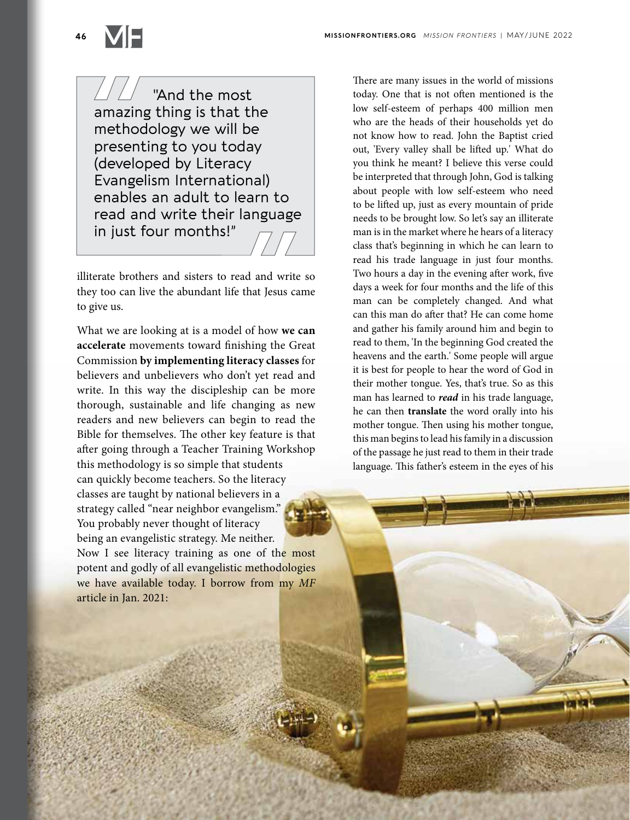"And the most amazing thing is that the methodology we will be presenting to you today (developed by Literacy Evangelism International) enables an adult to learn to read and write their language in just four months!"

illiterate brothers and sisters to read and write so they too can live the abundant life that Jesus came to give us.

What we are looking at is a model of how **we can accelerate** movements toward finishing the Great Commission **by implementing literacy classes** for believers and unbelievers who don't yet read and write. In this way the discipleship can be more thorough, sustainable and life changing as new readers and new believers can begin to read the Bible for themselves. The other key feature is that after going through a Teacher Training Workshop this methodology is so simple that students can quickly become teachers. So the literacy classes are taught by national believers in a strategy called "near neighbor evangelism." You probably never thought of literacy being an evangelistic strategy. Me neither.

Now I see literacy training as one of the most potent and godly of all evangelistic methodologies we have available today. I borrow from my *MF* article in Jan. 2021:

There are many issues in the world of missions today. One that is not often mentioned is the low self-esteem of perhaps 400 million men who are the heads of their households yet do not know how to read. John the Baptist cried out, 'Every valley shall be lifted up.' What do you think he meant? I believe this verse could be interpreted that through John, God is talking about people with low self-esteem who need to be lifted up, just as every mountain of pride needs to be brought low. So let's say an illiterate man is in the market where he hears of a literacy class that's beginning in which he can learn to read his trade language in just four months. Two hours a day in the evening after work, five days a week for four months and the life of this man can be completely changed. And what can this man do after that? He can come home and gather his family around him and begin to read to them, 'In the beginning God created the heavens and the earth.' Some people will argue it is best for people to hear the word of God in their mother tongue. Yes, that's true. So as this man has learned to *read* in his trade language, he can then **translate** the word orally into his mother tongue. Then using his mother tongue, this man begins to lead his family in a discussion of the passage he just read to them in their trade language. This father's esteem in the eyes of his